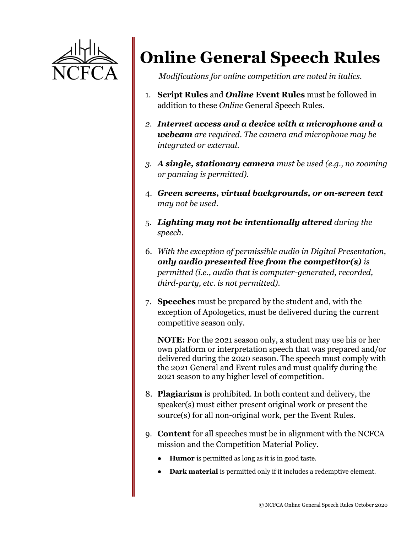

## **Online General Speech Rules**

*Modifications for online competition are noted in italics.*

- 1. **Script Rules** and *Online* **Event Rules** must be followed in addition to these *Online* General Speech Rules.
- *2. Internet access and a device with a microphone and a webcam are required. The camera and microphone may be integrated or external.*
- *3. A single, stationary camera must be used (e.g., no zooming or panning is permitted).*
- 4. *Green screens, virtual backgrounds, or on-screen text may not be used.*
- 5. *Lighting may not be intentionally altered during the speech.*
- 6. *With the exception of permissible audio in Digital Presentation, only audio presented live from the competitor(s) is permitted (i.e., audio that is computer-generated, recorded, third-party, etc. is not permitted).*
- 7. **Speeches** must be prepared by the student and, with the exception of Apologetics, must be delivered during the current competitive season only.

**NOTE:** For the 2021 season only, a student may use his or her own platform or interpretation speech that was prepared and/or delivered during the 2020 season. The speech must comply with the 2021 General and Event rules and must qualify during the 2021 season to any higher level of competition.

- 8. **Plagiarism** is prohibited. In both content and delivery, the speaker(s) must either present original work or present the source(s) for all non-original work, per the Event Rules.
- 9. **Content** for all speeches must be in alignment with the NCFCA mission and the Competition Material Policy.
	- **Humor** is permitted as long as it is in good taste.
	- **Dark material** is permitted only if it includes a redemptive element.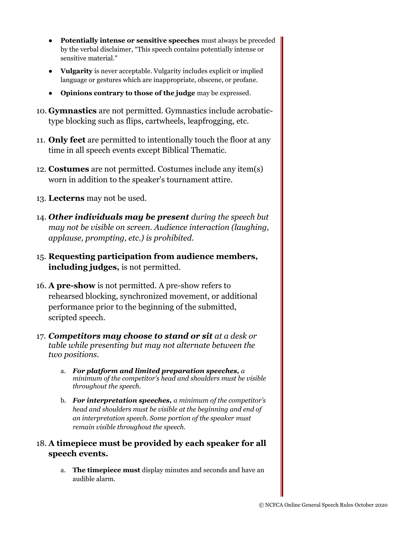- **Potentially intense or sensitive speeches** must always be preceded by the verbal disclaimer, "This speech contains potentially intense or sensitive material."
- **Vulgarity** is never acceptable. Vulgarity includes explicit or implied language or gestures which are inappropriate, obscene, or profane.
- **Opinions contrary to those of the judge** may be expressed.
- 10. **Gymnastics** are not permitted. Gymnastics include acrobatictype blocking such as flips, cartwheels, leapfrogging, etc.
- 11. **Only feet** are permitted to intentionally touch the floor at any time in all speech events except Biblical Thematic.
- 12. **Costumes** are not permitted. Costumes include any item(s) worn in addition to the speaker's tournament attire.
- 13. **Lecterns** may not be used.
- 14. *Other individuals may be present during the speech but may not be visible on screen. Audience interaction (laughing, applause, prompting, etc.) is prohibited.*
- 15. **Requesting participation from audience members, including judges,** is not permitted.
- 16. **A pre-show** is not permitted. A pre-show refers to rehearsed blocking, synchronized movement, or additional performance prior to the beginning of the submitted, scripted speech.
- 17. *Competitors may choose to stand or sit at a desk or table while presenting but may not alternate between the two positions.*
	- a. *For platform and limited preparation speeches, a minimum of the competitor's head and shoulders must be visible throughout the speech.*
	- b. *For interpretation speeches, a minimum of the competitor's head and shoulders must be visible at the beginning and end of an interpretation speech. Some portion of the speaker must remain visible throughout the speech.*

## 18. **A timepiece must be provided by each speaker for all speech events.**

a. **The timepiece must** display minutes and seconds and have an audible alarm.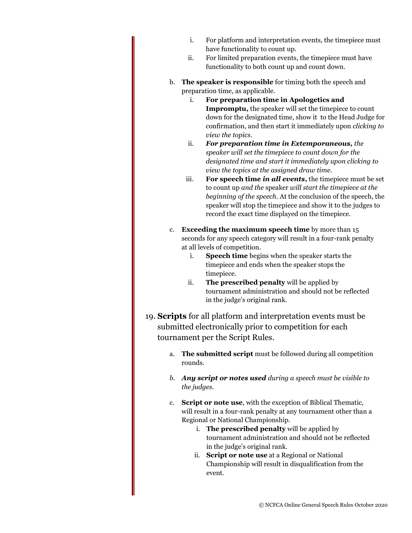- i. For platform and interpretation events, the timepiece must have functionality to count up.
- ii. For limited preparation events, the timepiece must have functionality to both count up and count down.
- b. **The speaker is responsible** for timing both the speech and preparation time, as applicable.
	- i. **For preparation time in Apologetics and Impromptu,** the speaker will set the timepiece to count down for the designated time, show it to the Head Judge for confirmation, and then start it immediately upon *clicking to view the topics*.
	- ii. *For preparation time in Extemporaneous, the speaker will set the timepiece to count down for the designated time and start it immediately upon clicking to view the topics at the assigned draw time.*
	- iii. **For speech time** *in all events***,** the timepiece must be set to count up *and the* speaker *will start the timepiece at the beginning of the speech.* At the conclusion of the speech, the speaker will stop the timepiece and show it to the judges to record the exact time displayed on the timepiece.
- c. **Exceeding the maximum speech time** by more than 15 seconds for any speech category will result in a four-rank penalty at all levels of competition.
	- i. **Speech time** begins when the speaker starts the timepiece and ends when the speaker stops the timepiece.
	- ii. **The prescribed penalty** will be applied by tournament administration and should not be reflected in the judge's original rank.
- 19. **Scripts** for all platform and interpretation events must be submitted electronically prior to competition for each tournament per the Script Rules.
	- a. **The submitted script** must be followed during all competition rounds.
	- *b. Any script or notes used during a speech must be visible to the judges.*
	- c. **Script or note use**, with the exception of Biblical Thematic, will result in a four-rank penalty at any tournament other than a Regional or National Championship.
		- i. **The prescribed penalty** will be applied by tournament administration and should not be reflected in the judge's original rank.
		- ii. **Script or note use** at a Regional or National Championship will result in disqualification from the event.